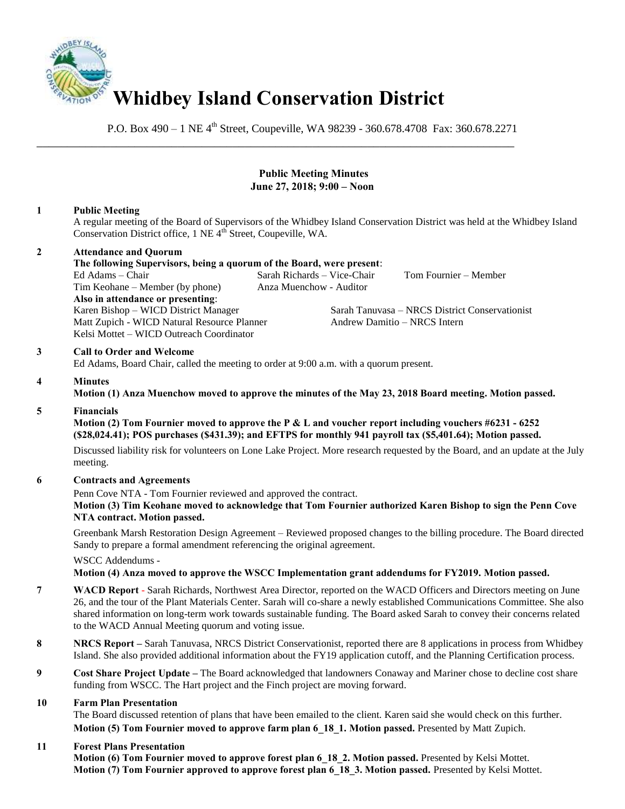

P.O. Box  $490 - 1$  NE  $4<sup>th</sup>$  Street, Coupeville, WA 98239 - 360.678.4708 Fax: 360.678.2271

\_\_\_\_\_\_\_\_\_\_\_\_\_\_\_\_\_\_\_\_\_\_\_\_\_\_\_\_\_\_\_\_\_\_\_\_\_\_\_\_\_\_\_\_\_\_\_\_\_\_\_\_\_\_\_\_\_\_\_\_\_\_\_\_\_\_\_\_\_\_\_\_\_\_\_\_\_\_

# **Public Meeting Minutes June 27, 2018; 9:00 – Noon**

# **1 Public Meeting**

A regular meeting of the Board of Supervisors of the Whidbey Island Conservation District was held at the Whidbey Island Conservation District office, 1 NE 4<sup>th</sup> Street, Coupeville, WA.

#### **2 Attendance and Quorum The following Supervisors, being a quorum of the Board, were present**:

Ed Adams – Chair Sarah Richards – Vice-Chair Tom Fournier – Member Tim Keohane – Member (by phone) Anza Muenchow - Auditor **Also in attendance or presenting**: Matt Zupich - WICD Natural Resource Planner Andrew Damitio - NRCS Intern Kelsi Mottet – WICD Outreach Coordinator

Karen Bishop – WICD District Manager Sarah Tanuvasa – NRCS District Conservationist

# **3 Call to Order and Welcome**

Ed Adams, Board Chair, called the meeting to order at 9:00 a.m. with a quorum present.

### **4 Minutes**

**Motion (1) Anza Muenchow moved to approve the minutes of the May 23, 2018 Board meeting. Motion passed.** 

### **5 Financials**

 **Motion (2) Tom Fournier moved to approve the P & L and voucher report including vouchers #6231 - 6252 (\$28,024.41); POS purchases (\$431.39); and EFTPS for monthly 941 payroll tax (\$5,401.64); Motion passed.** 

Discussed liability risk for volunteers on Lone Lake Project. More research requested by the Board, and an update at the July meeting.

### **6 Contracts and Agreements**

Penn Cove NTA - Tom Fournier reviewed and approved the contract.

### **Motion (3) Tim Keohane moved to acknowledge that Tom Fournier authorized Karen Bishop to sign the Penn Cove NTA contract. Motion passed.**

Greenbank Marsh Restoration Design Agreement – Reviewed proposed changes to the billing procedure. The Board directed Sandy to prepare a formal amendment referencing the original agreement.

WSCC Addendums -

### **Motion (4) Anza moved to approve the WSCC Implementation grant addendums for FY2019. Motion passed.**

- **7 WACD Report** Sarah Richards, Northwest Area Director, reported on the WACD Officers and Directors meeting on June 26, and the tour of the Plant Materials Center. Sarah will co-share a newly established Communications Committee. She also shared information on long-term work towards sustainable funding. The Board asked Sarah to convey their concerns related to the WACD Annual Meeting quorum and voting issue.
- **8 NRCS Report** Sarah Tanuvasa, NRCS District Conservationist, reported there are 8 applications in process from Whidbey Island. She also provided additional information about the FY19 application cutoff, and the Planning Certification process.
- **9 Cost Share Project Update The Board acknowledged that landowners Conaway and Mariner chose to decline cost share** funding from WSCC. The Hart project and the Finch project are moving forward.

### **10 Farm Plan Presentation**

The Board discussed retention of plans that have been emailed to the client. Karen said she would check on this further. **Motion (5) Tom Fournier moved to approve farm plan 6\_18\_1. Motion passed.** Presented by Matt Zupich.

### **11 Forest Plans Presentation**

**Motion (6) Tom Fournier moved to approve forest plan 6\_18\_2. Motion passed.** Presented by Kelsi Mottet. **Motion (7) Tom Fournier approved to approve forest plan 6\_18\_3. Motion passed.** Presented by Kelsi Mottet.